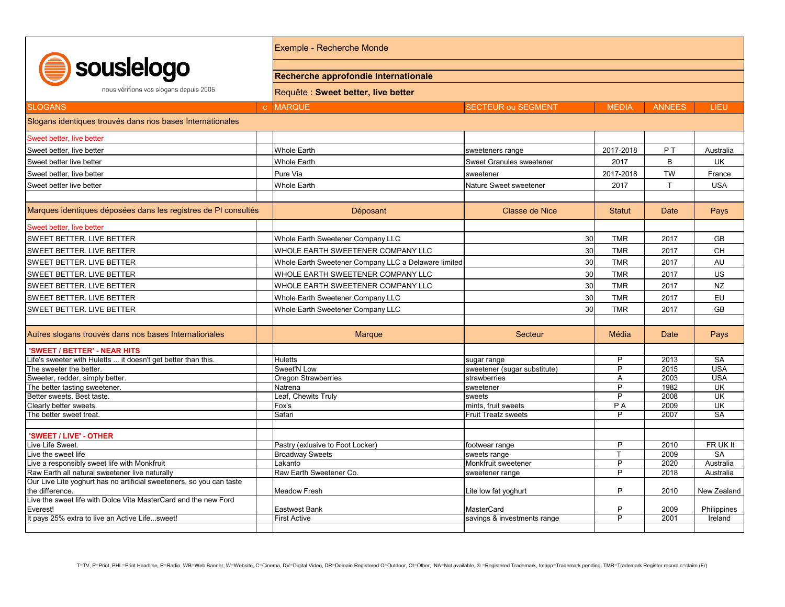| souslelogo<br>nous vérifions vos slogans depuis 2005                                                                   |  | Exemple - Recherche Monde                                                   |                                 |                     |                |                         |  |  |
|------------------------------------------------------------------------------------------------------------------------|--|-----------------------------------------------------------------------------|---------------------------------|---------------------|----------------|-------------------------|--|--|
|                                                                                                                        |  | Recherche approfondie Internationale<br>Requête : Sweet better, live better |                                 |                     |                |                         |  |  |
|                                                                                                                        |  |                                                                             |                                 |                     |                |                         |  |  |
| Slogans identiques trouvés dans nos bases Internationales                                                              |  |                                                                             |                                 |                     |                |                         |  |  |
| Sweet better, live better                                                                                              |  |                                                                             |                                 |                     |                |                         |  |  |
| Sweet better. live better                                                                                              |  | <b>Whole Earth</b>                                                          | sweeteners range                | 2017-2018           | P <sub>T</sub> | Australia               |  |  |
| Sweet better live better                                                                                               |  | <b>Whole Earth</b>                                                          | <b>Sweet Granules sweetener</b> | 2017                | B              | <b>UK</b>               |  |  |
| Sweet better, live better                                                                                              |  | Pure Via                                                                    | sweetener                       | 2017-2018           | <b>TW</b>      | France                  |  |  |
| Sweet better live better                                                                                               |  | <b>Whole Earth</b>                                                          | Nature Sweet sweetener          | 2017                | $\mathsf{T}$   | <b>USA</b>              |  |  |
|                                                                                                                        |  |                                                                             |                                 |                     |                |                         |  |  |
| Marques identiques déposées dans les registres de PI consultés                                                         |  | Déposant                                                                    | Classe de Nice                  | <b>Statut</b>       | Date           | Pays                    |  |  |
| Sweet better, live better                                                                                              |  |                                                                             |                                 |                     |                |                         |  |  |
| <b>SWEET BETTER. LIVE BETTER</b>                                                                                       |  | Whole Earth Sweetener Company LLC                                           | 30                              | <b>TMR</b>          | 2017           | <b>GB</b>               |  |  |
| SWEET BETTER. LIVE BETTER                                                                                              |  | WHOLE EARTH SWEETENER COMPANY LLC                                           | 30                              | <b>TMR</b>          | 2017           | <b>CH</b>               |  |  |
| <b>SWEET BETTER. LIVE BETTER</b>                                                                                       |  | Whole Earth Sweetener Company LLC a Delaware limited                        | 30                              | <b>TMR</b>          | 2017           | AU                      |  |  |
| SWEET BETTER. LIVE BETTER                                                                                              |  | WHOLE EARTH SWEETENER COMPANY LLC                                           | 30                              | <b>TMR</b>          | 2017           | US                      |  |  |
| SWEET BETTER. LIVE BETTER                                                                                              |  | WHOLE EARTH SWEETENER COMPANY LLC                                           | 30                              | <b>TMR</b>          | 2017           | <b>NZ</b>               |  |  |
| <b>SWEET BETTER. LIVE BETTER</b>                                                                                       |  | Whole Earth Sweetener Company LLC                                           | 30                              | <b>TMR</b>          | 2017           | EU                      |  |  |
|                                                                                                                        |  |                                                                             | 30                              |                     |                |                         |  |  |
| SWEET BETTER. LIVE BETTER                                                                                              |  | Whole Earth Sweetener Company LLC                                           |                                 | <b>TMR</b>          | 2017           | <b>GB</b>               |  |  |
| Autres slogans trouvés dans nos bases Internationales                                                                  |  | <b>Marque</b>                                                               | Secteur                         | Média               | <b>Date</b>    | Pays                    |  |  |
| 'SWEET / BETTER' - NEAR HITS                                                                                           |  |                                                                             |                                 |                     |                |                         |  |  |
| .ife's sweeter with Huletts  it doesn't get better than this.                                                          |  | <b>Huletts</b>                                                              | sugar range                     | P                   | 2013           | <b>SA</b>               |  |  |
| The sweeter the better.                                                                                                |  | Sweet'N Low                                                                 | sweetener (sugar substitute)    | P                   | 2015           | <b>USA</b>              |  |  |
| Sweeter, redder, simply better.                                                                                        |  | <b>Oregon Strawberries</b><br>Natrena                                       | strawberries<br>sweetener       | A<br>$\overline{P}$ | 2003<br>1982   | <b>USA</b><br><b>UK</b> |  |  |
| The better tasting sweetener.<br>Better sweets. Best taste.                                                            |  | Leaf, Chewits Truly                                                         | sweets                          | P                   | 2008           | UK                      |  |  |
| Clearly better sweets.                                                                                                 |  | Fox's                                                                       | mints, fruit sweets             | P A                 | 2009           | UK                      |  |  |
| The better sweet treat.                                                                                                |  | Safari                                                                      | <b>Fruit Treatz sweets</b>      | P                   | 2007           | <b>SA</b>               |  |  |
|                                                                                                                        |  |                                                                             |                                 |                     |                |                         |  |  |
| 'SWEET / LIVE' - OTHER                                                                                                 |  |                                                                             |                                 |                     |                |                         |  |  |
| ive Life Sweet.                                                                                                        |  | Pastry (exlusive to Foot Locker)                                            | footwear range                  | P                   | 2010           | FR UK It                |  |  |
| ive the sweet life                                                                                                     |  | <b>Broadway Sweets</b>                                                      | sweets range                    | T                   | 2009           | <b>SA</b>               |  |  |
| ive a responsibly sweet life with Monkfruit                                                                            |  | Lakanto                                                                     | Monkfruit sweetener             | P                   | 2020           | Australia               |  |  |
| Raw Earth all natural sweetener live naturally<br>Our Live Lite yoghurt has no artificial sweeteners, so you can taste |  | Raw Earth Sweetener Co.                                                     | sweetener range                 | $\overline{P}$      | 2018           | Australia               |  |  |
| the difference.                                                                                                        |  | <b>Meadow Fresh</b>                                                         | Lite low fat yoghurt            | P                   | 2010           | New Zealand             |  |  |
| Live the sweet life with Dolce Vita MasterCard and the new Ford                                                        |  |                                                                             |                                 |                     |                |                         |  |  |
| Everest!                                                                                                               |  | <b>Eastwest Bank</b>                                                        | MasterCard                      | P                   | 2009           | Philippines             |  |  |
| It pays 25% extra to live an Active Lifesweet!                                                                         |  | <b>First Active</b>                                                         | savings & investments range     | P                   | 2001           | Ireland                 |  |  |
|                                                                                                                        |  |                                                                             |                                 |                     |                |                         |  |  |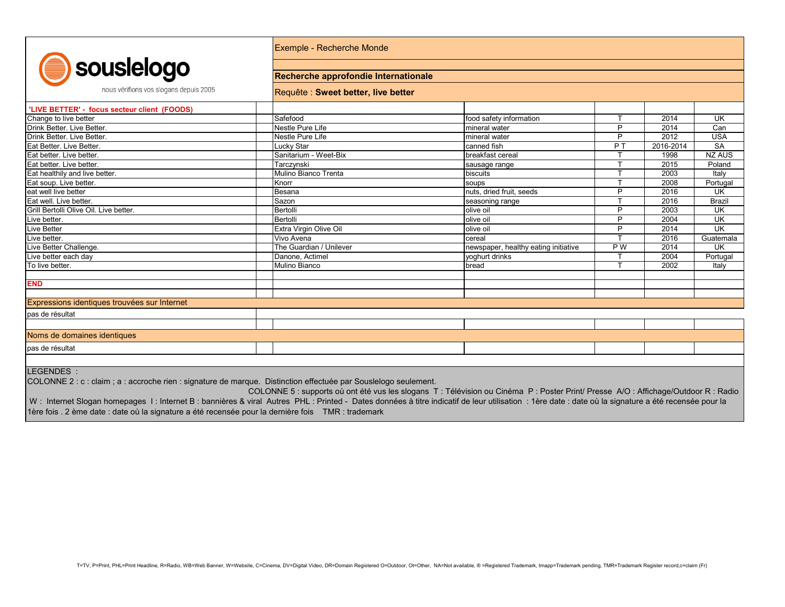| souslelogo                        |
|-----------------------------------|
| nous vérifions vos slogans denuis |

Exemple - Recherche Monde

## **Recherche approfondie Internationale**

Requête : **Sweet better, live better**

| TRUS VEHINTS VOS SIOGUTS UEDUIS ZOOS         | [Requête : Sweet better, live better] |                                      |                |           |               |
|----------------------------------------------|---------------------------------------|--------------------------------------|----------------|-----------|---------------|
| 'LIVE BETTER' - focus secteur client (FOODS) |                                       |                                      |                |           |               |
| Change to live better                        | Safefood                              | food safety information              | $\mathbf$      | 2014      | <b>UK</b>     |
| Drink Better, Live Better.                   | Nestle Pure Life                      | mineral water                        | P              | 2014      | Can           |
| Drink Better. Live Better.                   | Nestle Pure Life                      | mineral water                        | P              | 2012      | <b>USA</b>    |
| Eat Better. Live Better.                     | Lucky Star                            | canned fish                          | P <sub>T</sub> | 2016-2014 | <b>SA</b>     |
| Eat better. Live better.                     | Sanitarium - Weet-Bix                 | breakfast cereal                     |                | 1998      | <b>NZ AUS</b> |
| Eat better. Live better.                     | Tarczynski                            | sausage range                        |                | 2015      | Poland        |
| Eat healthily and live better.               | Mulino Bianco Trenta                  | biscuits                             |                | 2003      | Italy         |
| Eat soup. Live better.                       | Knorr                                 | soups                                |                | 2008      | Portugal      |
| eat well live better                         | Besana                                | nuts, dried fruit, seeds             | P              | 2016      | <b>UK</b>     |
| Eat well. Live better.                       | Sazon                                 | seasoning range                      | $\mathbf$      | 2016      | <b>Brazil</b> |
| Grill Bertolli Olive Oil. Live better.       | Bertolli                              | olive oil                            | P              | 2003      | <b>UK</b>     |
| Live better.                                 | Bertolli                              | olive oil                            | P              | 2004      | <b>UK</b>     |
| <b>Live Better</b>                           | Extra Virgin Olive Oil                | olive oil                            | P              | 2014      | <b>UK</b>     |
| Live better.                                 | Vivo Avena                            | cereal                               |                | 2016      | Guatemala     |
| Live Better Challenge.                       | The Guardian / Unilever               | newspaper, healthy eating initiative | P W            | 2014      | <b>UK</b>     |
| Live better each day                         | Danone, Actimel                       | yoghurt drinks                       |                | 2004      | Portugal      |
| To live better.                              | Mulino Bianco                         | bread                                | $\tau$         | 2002      | Italy         |
| <b>END</b>                                   |                                       |                                      |                |           |               |
| Expressions identiques trouvées sur Internet |                                       |                                      |                |           |               |
|                                              |                                       |                                      |                |           |               |
| pas de résultat                              |                                       |                                      |                |           |               |
|                                              |                                       |                                      |                |           |               |
| Noms de domaines identiques                  |                                       |                                      |                |           |               |
| pas de résultat                              |                                       |                                      |                |           |               |
|                                              |                                       |                                      |                |           |               |

LEGENDES :

COLONNE 2 : c : claim ; a : accroche rien : signature de marque. Distinction effectuée par Souslelogo seulement.

 $2005$ 

 COLONNE 5 : supports où ont été vus les slogans T : Télévision ou Cinéma P : Poster Print/ Presse A/O : Affichage/Outdoor R : Radio W : Internet Slogan homepages I : Internet B : bannières & viral Autres PHL : Printed - Dates données à titre indicatif de leur utilisation : 1ère date : date où la signature a été recensée pour la 1ère fois . 2 ème date : date où la signature a été recensée pour la dernière fois TMR : trademark